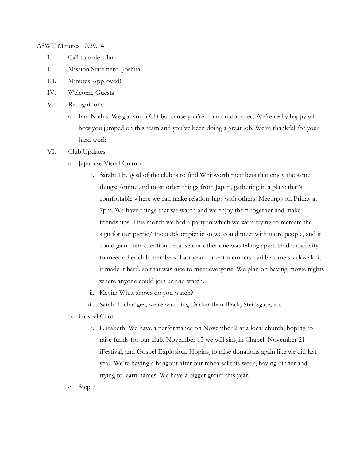ASWU Minutes 10.29.14

- I. Call to order- Ian
- II. Mission Statement- Joshua
- III. Minutes-Approved!
- IV. Welcome Guests
- V. Recognitions
	- a. Ian: Niehls! We got you a Clif bar cause you're from outdoor rec. We're really happy with how you jumped on this team and you've been doing a great job. We're thankful for your hard work!
- VI. Club Updates
	- a. Japanese Visual Culture
		- i. Sarah: The goal of the club is to find Whitworth members that enjoy the same things; Anime and most other things from Japan, gathering in a place that's comfortable where we can make relationships with others. Meetings on Friday at 7pm. We have things that we watch and we enjoy them together and make friendships. This month we had a party in which we were trying to recreate the sign for our picnic/ the outdoor picnic so we could meet with more people, and it could gain their attention because our other one was falling apart. Had an activity to meet other club members. Last year current members had become so close knit it made it hard, so that was nice to meet everyone. We plan on having movie nights where anyone could join us and watch.
		- ii. Kevin: What shows do you watch?
		- iii. Sarah: It changes, we're watching Darker than Black, Steinsgate, etc.
	- b. Gospel Choir
		- i. Elizabeth: We have a performance on November 2 at a local church, hoping to raise funds for our club. November 13 we will sing in Chapel. November 21 iFestival, and Gospel Explosion. Hoping to raise donations again like we did last year. We're having a hangout after our rehearsal this week, having dinner and trying to learn names. We have a bigger group this year.
	- c. Step 7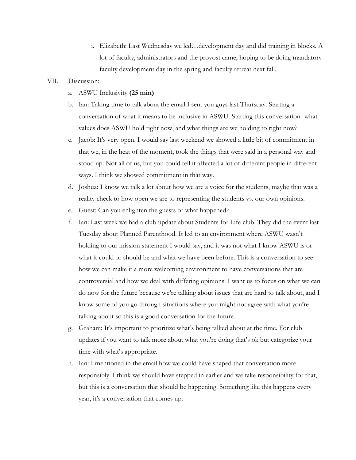i. Elizabeth: Last Wednesday we led…development day and did training in blocks. A lot of faculty, administrators and the provost came, hoping to be doing mandatory faculty development day in the spring and faculty retreat next fall.

### VII. Discussion:

- a. ASWU Inclusivity **(25 min)**
- b. Ian: Taking time to talk about the email I sent you guys last Thursday. Starting a conversation of what it means to be inclusive in ASWU. Starting this conversation- what values does ASWU hold right now, and what things are we holding to right now?
- c. Jacob: It's very open. I would say last weekend we showed a little bit of commitment in that we, in the heat of the moment, took the things that were said in a personal way and stood up. Not all of us, but you could tell it affected a lot of different people in different ways. I think we showed commitment in that way.
- d. Joshua: I know we talk a lot about how we are a voice for the students, maybe that was a reality check to how open we are to representing the students vs. our own opinions.
- e. Guest: Can you enlighten the guests of what happened?
- f. Ian: Last week we had a club update about Students for Life club. They did the event last Tuesday about Planned Parenthood. It led to an environment where ASWU wasn't holding to our mission statement I would say, and it was not what I know ASWU is or what it could or should be and what we have been before. This is a conversation to see how we can make it a more welcoming environment to have conversations that are controversial and how we deal with differing opinions. I want us to focus on what we can do now for the future because we're talking about issues that are hard to talk about, and I know some of you go through situations where you might not agree with what you're talking about so this is a good conversation for the future.
- g. Graham: It's important to prioritize what's being talked about at the time. For club updates if you want to talk more about what you're doing that's ok but categorize your time with what's appropriate.
- h. Ian: I mentioned in the email how we could have shaped that conversation more responsibly. I think we should have stepped in earlier and we take responsibility for that, but this is a conversation that should be happening. Something like this happens every year, it's a conversation that comes up.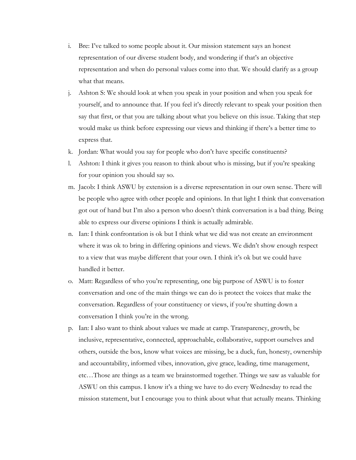- i. Bre: I've talked to some people about it. Our mission statement says an honest representation of our diverse student body, and wondering if that's an objective representation and when do personal values come into that. We should clarify as a group what that means.
- j. Ashton S: We should look at when you speak in your position and when you speak for yourself, and to announce that. If you feel it's directly relevant to speak your position then say that first, or that you are talking about what you believe on this issue. Taking that step would make us think before expressing our views and thinking if there's a better time to express that.
- k. Jordan: What would you say for people who don't have specific constituents?
- l. Ashton: I think it gives you reason to think about who is missing, but if you're speaking for your opinion you should say so.
- m. Jacob: I think ASWU by extension is a diverse representation in our own sense. There will be people who agree with other people and opinions. In that light I think that conversation got out of hand but I'm also a person who doesn't think conversation is a bad thing. Being able to express our diverse opinions I think is actually admirable.
- n. Ian: I think confrontation is ok but I think what we did was not create an environment where it was ok to bring in differing opinions and views. We didn't show enough respect to a view that was maybe different that your own. I think it's ok but we could have handled it better.
- o. Matt: Regardless of who you're representing, one big purpose of ASWU is to foster conversation and one of the main things we can do is protect the voices that make the conversation. Regardless of your constituency or views, if you're shutting down a conversation I think you're in the wrong.
- p. Ian: I also want to think about values we made at camp. Transparency, growth, be inclusive, representative, connected, approachable, collaborative, support ourselves and others, outside the box, know what voices are missing, be a duck, fun, honesty, ownership and accountability, informed vibes, innovation, give grace, leading, time management, etc…Those are things as a team we brainstormed together. Things we saw as valuable for ASWU on this campus. I know it's a thing we have to do every Wednesday to read the mission statement, but I encourage you to think about what that actually means. Thinking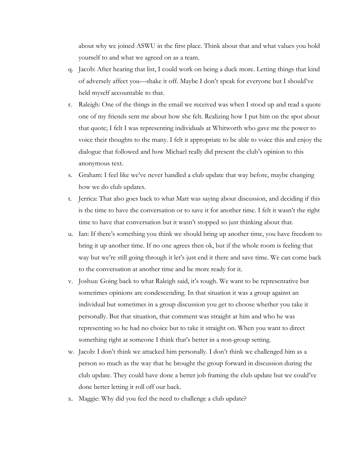about why we joined ASWU in the first place. Think about that and what values you hold yourself to and what we agreed on as a team.

- q. Jacob: After hearing that list, I could work on being a duck more. Letting things that kind of adversely affect you—shake it off. Maybe I don't speak for everyone but I should've held myself accountable to that.
- r. Raleigh: One of the things in the email we received was when I stood up and read a quote one of my friends sent me about how she felt. Realizing how I put him on the spot about that quote; I felt I was representing individuals at Whitworth who gave me the power to voice their thoughts to the many. I felt it appropriate to be able to voice this and enjoy the dialogue that followed and how Michael really did present the club's opinion to this anonymous text.
- s. Graham: I feel like we've never handled a club update that way before, maybe changing how we do club updates.
- t. Jerrica: That also goes back to what Matt was saying about discussion, and deciding if this is the time to have the conversation or to save it for another time. I felt it wasn't the right time to have that conversation but it wasn't stopped so just thinking about that.
- u. Ian: If there's something you think we should bring up another time, you have freedom to bring it up another time. If no one agrees then ok, but if the whole room is feeling that way but we're still going through it let's just end it there and save time. We can come back to the conversation at another time and be more ready for it.
- v. Joshua: Going back to what Raleigh said, it's tough. We want to be representative but sometimes opinions are condescending. In that situation it was a group against an individual but sometimes in a group discussion you get to choose whether you take it personally. But that situation, that comment was straight at him and who he was representing so he had no choice but to take it straight on. When you want to direct something right at someone I think that's better in a non-group setting.
- w. Jacob: I don't think we attacked him personally. I don't think we challenged him as a person so much as the way that he brought the group forward in discussion during the club update. They could have done a better job framing the club update but we could've done better letting it roll off our back.
- x. Maggie: Why did you feel the need to challenge a club update?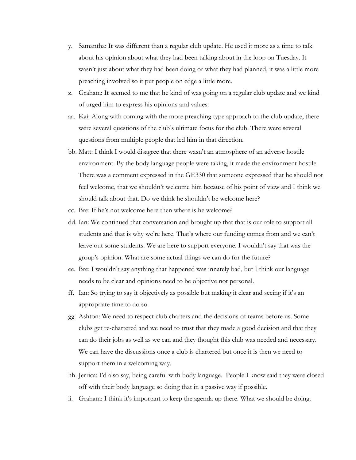- y. Samantha: It was different than a regular club update. He used it more as a time to talk about his opinion about what they had been talking about in the loop on Tuesday. It wasn't just about what they had been doing or what they had planned, it was a little more preaching involved so it put people on edge a little more.
- z. Graham: It seemed to me that he kind of was going on a regular club update and we kind of urged him to express his opinions and values.
- aa. Kai: Along with coming with the more preaching type approach to the club update, there were several questions of the club's ultimate focus for the club. There were several questions from multiple people that led him in that direction.
- bb. Matt: I think I would disagree that there wasn't an atmosphere of an adverse hostile environment. By the body language people were taking, it made the environment hostile. There was a comment expressed in the GE330 that someone expressed that he should not feel welcome, that we shouldn't welcome him because of his point of view and I think we should talk about that. Do we think he shouldn't be welcome here?
- cc. Bre: If he's not welcome here then where is he welcome?
- dd. Ian: We continued that conversation and brought up that that is our role to support all students and that is why we're here. That's where our funding comes from and we can't leave out some students. We are here to support everyone. I wouldn't say that was the group's opinion. What are some actual things we can do for the future?
- ee. Bre: I wouldn't say anything that happened was innately bad, but I think our language needs to be clear and opinions need to be objective not personal.
- ff. Ian: So trying to say it objectively as possible but making it clear and seeing if it's an appropriate time to do so.
- gg. Ashton: We need to respect club charters and the decisions of teams before us. Some clubs get re-chartered and we need to trust that they made a good decision and that they can do their jobs as well as we can and they thought this club was needed and necessary. We can have the discussions once a club is chartered but once it is then we need to support them in a welcoming way.
- hh. Jerrica: I'd also say, being careful with body language. People I know said they were closed off with their body language so doing that in a passive way if possible.
- ii. Graham: I think it's important to keep the agenda up there. What we should be doing.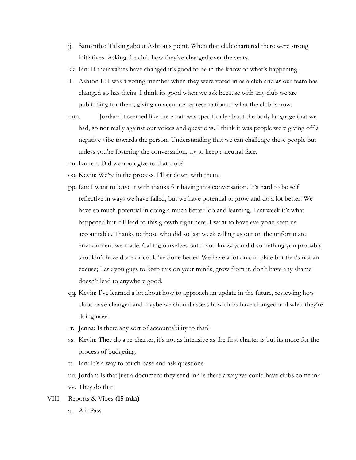- jj. Samantha: Talking about Ashton's point. When that club chartered there were strong initiatives. Asking the club how they've changed over the years.
- kk. Ian: If their values have changed it's good to be in the know of what's happening.
- ll. Ashton L: I was a voting member when they were voted in as a club and as our team has changed so has theirs. I think its good when we ask because with any club we are publicizing for them, giving an accurate representation of what the club is now.
- mm. Jordan: It seemed like the email was specifically about the body language that we had, so not really against our voices and questions. I think it was people were giving off a negative vibe towards the person. Understanding that we can challenge these people but unless you're fostering the conversation, try to keep a neutral face.
- nn. Lauren: Did we apologize to that club?
- oo. Kevin: We're in the process. I'll sit down with them.
- pp. Ian: I want to leave it with thanks for having this conversation. It's hard to be self reflective in ways we have failed, but we have potential to grow and do a lot better. We have so much potential in doing a much better job and learning. Last week it's what happened but it'll lead to this growth right here. I want to have everyone keep us accountable. Thanks to those who did so last week calling us out on the unfortunate environment we made. Calling ourselves out if you know you did something you probably shouldn't have done or could've done better. We have a lot on our plate but that's not an excuse; I ask you guys to keep this on your minds, grow from it, don't have any shamedoesn't lead to anywhere good.
- qq. Kevin: I've learned a lot about how to approach an update in the future, reviewing how clubs have changed and maybe we should assess how clubs have changed and what they're doing now.
- rr. Jenna: Is there any sort of accountability to that?
- ss. Kevin: They do a re-charter, it's not as intensive as the first charter is but its more for the process of budgeting.
- tt. Ian: It's a way to touch base and ask questions.
- uu. Jordan: Is that just a document they send in? Is there a way we could have clubs come in? vv. They do that.
- VIII. Reports & Vibes **(15 min)**
	- a. Ali: Pass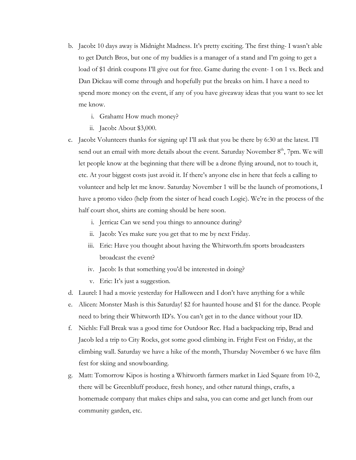- b. Jacob**:** 10 days away is Midnight Madness. It's pretty exciting. The first thing- I wasn't able to get Dutch Bros, but one of my buddies is a manager of a stand and I'm going to get a load of \$1 drink coupons I'll give out for free. Game during the event- 1 on 1 vs. Beck and Dan Dickau will come through and hopefully put the breaks on him. I have a need to spend more money on the event, if any of you have giveaway ideas that you want to see let me know.
	- i. Graham**:** How much money?
	- ii. Jacob**:** About \$3,000.
- c. Jacob**:** Volunteers thanks for signing up! I'll ask that you be there by 6:30 at the latest. I'll send out an email with more details about the event. Saturday November  $8<sup>th</sup>$ , 7pm. We will let people know at the beginning that there will be a drone flying around, not to touch it, etc. At your biggest costs just avoid it. If there's anyone else in here that feels a calling to volunteer and help let me know. Saturday November 1 will be the launch of promotions, I have a promo video (help from the sister of head coach Logie). We're in the process of the half court shot, shirts are coming should be here soon.
	- i. Jerrica**:** Can we send you things to announce during?
	- ii. Jacob: Yes make sure you get that to me by next Friday.
	- iii. Eric: Have you thought about having the Whitworth.fm sports broadcasters broadcast the event?
	- iv. Jacob: Is that something you'd be interested in doing?
	- v. Eric: It's just a suggestion.
- d. Laurel: I had a movie yesterday for Halloween and I don't have anything for a while
- e. Alicen: Monster Mash is this Saturday! \$2 for haunted house and \$1 for the dance. People need to bring their Whitworth ID's. You can't get in to the dance without your ID.
- f. Niehls: Fall Break was a good time for Outdoor Rec. Had a backpacking trip, Brad and Jacob led a trip to City Rocks, got some good climbing in. Fright Fest on Friday, at the climbing wall. Saturday we have a hike of the month, Thursday November 6 we have film fest for skiing and snowboarding.
- g. Matt: Tomorrow Kipos is hosting a Whitworth farmers market in Lied Square from 10-2, there will be Greenbluff produce, fresh honey, and other natural things, crafts, a homemade company that makes chips and salsa, you can come and get lunch from our community garden, etc.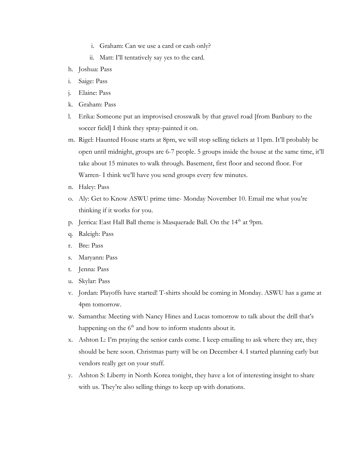- i. Graham: Can we use a card or cash only?
- ii. Matt: I'll tentatively say yes to the card.
- h. Joshua: Pass
- i. Saige: Pass
- j. Elaine: Pass
- k. Graham: Pass
- l. Erika: Someone put an improvised crosswalk by that gravel road [from Banbury to the soccer field] I think they spray-painted it on.
- m. Rigel: Haunted House starts at 8pm, we will stop selling tickets at 11pm. It'll probably be open until midnight, groups are 6-7 people. 5 groups inside the house at the same time, it'll take about 15 minutes to walk through. Basement, first floor and second floor. For Warren- I think we'll have you send groups every few minutes.
- n. Haley: Pass
- o. Aly: Get to Know ASWU prime time- Monday November 10. Email me what you're thinking if it works for you.
- p. Jerrica: East Hall Ball theme is Masquerade Ball. On the 14<sup>th</sup> at 9pm.
- q. Raleigh: Pass
- r. Bre: Pass
- s. Maryann: Pass
- t. Jenna: Pass
- u. Skylar: Pass
- v. Jordan: Playoffs have started! T-shirts should be coming in Monday. ASWU has a game at 4pm tomorrow.
- w. Samantha: Meeting with Nancy Hines and Lucas tomorrow to talk about the drill that's happening on the  $6<sup>th</sup>$  and how to inform students about it.
- x. Ashton L: I'm praying the senior cards come. I keep emailing to ask where they are, they should be here soon. Christmas party will be on December 4. I started planning early but vendors really get on your stuff.
- y. Ashton S: Liberty in North Korea tonight, they have a lot of interesting insight to share with us. They're also selling things to keep up with donations.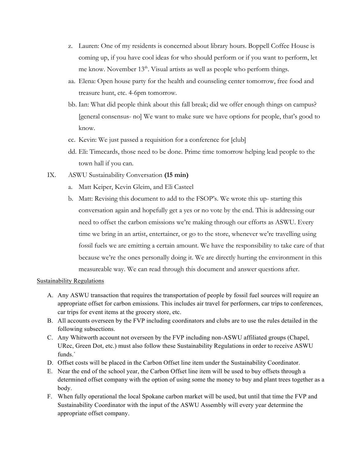- z. Lauren: One of my residents is concerned about library hours. Boppell Coffee House is coming up, if you have cool ideas for who should perform or if you want to perform, let me know. November 13<sup>th</sup>. Visual artists as well as people who perform things.
- aa. Elena: Open house party for the health and counseling center tomorrow, free food and treasure hunt, etc. 4-6pm tomorrow.
- bb. Ian: What did people think about this fall break; did we offer enough things on campus? [general consensus- no] We want to make sure we have options for people, that's good to know.
- cc. Kevin: We just passed a requisition for a conference for [club]
- dd. Eli: Timecards, those need to be done. Prime time tomorrow helping lead people to the town hall if you can.
- IX. ASWU Sustainability Conversation **(15 min)**
	- a. Matt Keiper, Kevin Gleim, and Eli Casteel
	- b. Matt: Revising this document to add to the FSOP's. We wrote this up- starting this conversation again and hopefully get a yes or no vote by the end. This is addressing our need to offset the carbon emissions we're making through our efforts as ASWU. Every time we bring in an artist, entertainer, or go to the store, whenever we're travelling using fossil fuels we are emitting a certain amount. We have the responsibility to take care of that because we're the ones personally doing it. We are directly hurting the environment in this measureable way. We can read through this document and answer questions after.

### Sustainability Regulations

- A. Any ASWU transaction that requires the transportation of people by fossil fuel sources will require an appropriate offset for carbon emissions. This includes air travel for performers, car trips to conferences, car trips for event items at the grocery store, etc.
- B. All accounts overseen by the FVP including coordinators and clubs are to use the rules detailed in the following subsections.
- C. Any Whitworth account not overseen by the FVP including non-ASWU affiliated groups (Chapel, URec, Green Dot, etc.) must also follow these Sustainability Regulations in order to receive ASWU funds.`
- D. Offset costs will be placed in the Carbon Offset line item under the Sustainability Coordinator.
- E. Near the end of the school year, the Carbon Offset line item will be used to buy offsets through a determined offset company with the option of using some the money to buy and plant trees together as a body.
- F. When fully operational the local Spokane carbon market will be used, but until that time the FVP and Sustainability Coordinator with the input of the ASWU Assembly will every year determine the appropriate offset company.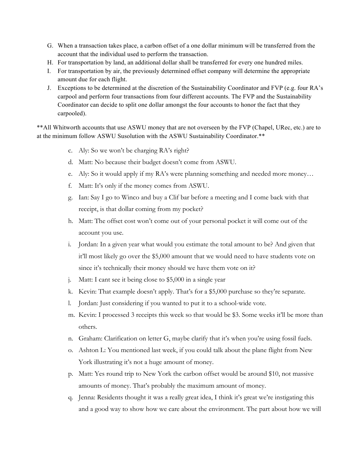- G. When a transaction takes place, a carbon offset of a one dollar minimum will be transferred from the account that the individual used to perform the transaction.
- H. For transportation by land, an additional dollar shall be transferred for every one hundred miles.
- I. For transportation by air, the previously determined offset company will determine the appropriate amount due for each flight.
- J. Exceptions to be determined at the discretion of the Sustainability Coordinator and FVP (e.g. four RA's carpool and perform four transactions from four different accounts. The FVP and the Sustainability Coordinator can decide to split one dollar amongst the four accounts to honor the fact that they carpooled).

\*\*All Whitworth accounts that use ASWU money that are not overseen by the FVP (Chapel, URec, etc.) are to at the minimum follow ASWU Susolution with the ASWU Sustainability Coordinator.\*\*

- c. Aly: So we won't be charging RA's right?
- d. Matt: No because their budget doesn't come from ASWU.
- e. Aly: So it would apply if my RA's were planning something and needed more money…
- f. Matt: It's only if the money comes from ASWU.
- g. Ian: Say I go to Winco and buy a Clif bar before a meeting and I come back with that receipt, is that dollar coming from my pocket?
- h. Matt: The offset cost won't come out of your personal pocket it will come out of the account you use.
- i. Jordan: In a given year what would you estimate the total amount to be? And given that it'll most likely go over the \$5,000 amount that we would need to have students vote on since it's technically their money should we have them vote on it?
- j. Matt: I cant see it being close to \$5,000 in a single year
- k. Kevin: That example doesn't apply. That's for a \$5,000 purchase so they're separate.
- l. Jordan: Just considering if you wanted to put it to a school-wide vote.
- m. Kevin: I processed 3 receipts this week so that would be \$3. Some weeks it'll be more than others.
- n. Graham: Clarification on letter G, maybe clarify that it's when you're using fossil fuels.
- o. Ashton L: You mentioned last week, if you could talk about the plane flight from New York illustrating it's not a huge amount of money.
- p. Matt: Yes round trip to New York the carbon offset would be around \$10, not massive amounts of money. That's probably the maximum amount of money.
- q. Jenna: Residents thought it was a really great idea, I think it's great we're instigating this and a good way to show how we care about the environment. The part about how we will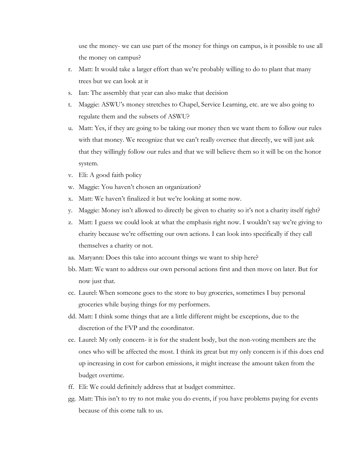use the money- we can use part of the money for things on campus, is it possible to use all the money on campus?

- r. Matt: It would take a larger effort than we're probably willing to do to plant that many trees but we can look at it
- s. Ian: The assembly that year can also make that decision
- t. Maggie: ASWU's money stretches to Chapel, Service Learning, etc. are we also going to regulate them and the subsets of ASWU?
- u. Matt: Yes, if they are going to be taking our money then we want them to follow our rules with that money. We recognize that we can't really oversee that directly, we will just ask that they willingly follow our rules and that we will believe them so it will be on the honor system.
- v. Eli: A good faith policy
- w. Maggie: You haven't chosen an organization?
- x. Matt: We haven't finalized it but we're looking at some now.
- y. Maggie: Money isn't allowed to directly be given to charity so it's not a charity itself right?
- z. Matt: I guess we could look at what the emphasis right now. I wouldn't say we're giving to charity because we're offsetting our own actions. I can look into specifically if they call themselves a charity or not.
- aa. Maryann: Does this take into account things we want to ship here?
- bb. Matt: We want to address our own personal actions first and then move on later. But for now just that.
- cc. Laurel: When someone goes to the store to buy groceries, sometimes I buy personal groceries while buying things for my performers.
- dd. Matt: I think some things that are a little different might be exceptions, due to the discretion of the FVP and the coordinator.
- ee. Laurel: My only concern- it is for the student body, but the non-voting members are the ones who will be affected the most. I think its great but my only concern is if this does end up increasing in cost for carbon emissions, it might increase the amount taken from the budget overtime.
- ff. Eli: We could definitely address that at budget committee.
- gg. Matt: This isn't to try to not make you do events, if you have problems paying for events because of this come talk to us.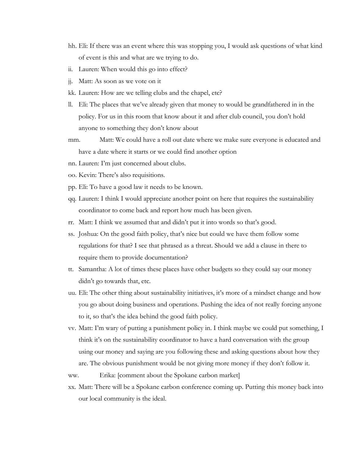- hh. Eli: If there was an event where this was stopping you, I would ask questions of what kind of event is this and what are we trying to do.
- ii. Lauren: When would this go into effect?
- jj. Matt: As soon as we vote on it
- kk. Lauren: How are we telling clubs and the chapel, etc?
- ll. Eli: The places that we've already given that money to would be grandfathered in in the policy. For us in this room that know about it and after club council, you don't hold anyone to something they don't know about
- mm. Matt: We could have a roll out date where we make sure everyone is educated and have a date where it starts or we could find another option
- nn. Lauren: I'm just concerned about clubs.
- oo. Kevin: There's also requisitions.
- pp. Eli: To have a good law it needs to be known.
- qq. Lauren: I think I would appreciate another point on here that requires the sustainability coordinator to come back and report how much has been given.
- rr. Matt: I think we assumed that and didn't put it into words so that's good.
- ss. Joshua: On the good faith policy, that's nice but could we have them follow some regulations for that? I see that phrased as a threat. Should we add a clause in there to require them to provide documentation?
- tt. Samantha: A lot of times these places have other budgets so they could say our money didn't go towards that, etc.
- uu. Eli: The other thing about sustainability initiatives, it's more of a mindset change and how you go about doing business and operations. Pushing the idea of not really forcing anyone to it, so that's the idea behind the good faith policy.
- vv. Matt: I'm wary of putting a punishment policy in. I think maybe we could put something, I think it's on the sustainability coordinator to have a hard conversation with the group using our money and saying are you following these and asking questions about how they are. The obvious punishment would be not giving more money if they don't follow it.

ww. Erika: [comment about the Spokane carbon market]

xx. Matt: There will be a Spokane carbon conference coming up. Putting this money back into our local community is the ideal.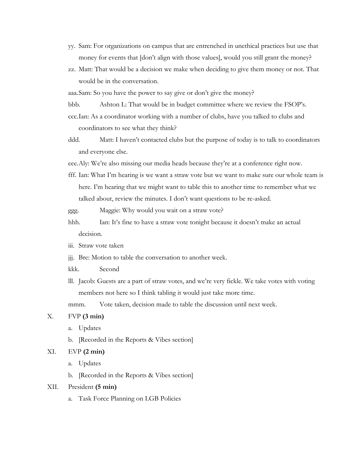- yy. Sam: For organizations on campus that are entrenched in unethical practices but use that money for events that [don't align with those values], would you still grant the money?
- zz. Matt: That would be a decision we make when deciding to give them money or not. That would be in the conversation.

aaa.Sam: So you have the power to say give or don't give the money?

- bbb. Ashton L: That would be in budget committee where we review the FSOP's.
- ccc.Ian: As a coordinator working with a number of clubs, have you talked to clubs and coordinators to see what they think?
- ddd. Matt: I haven't contacted clubs but the purpose of today is to talk to coordinators and everyone else.

eee.Aly: We're also missing our media heads because they're at a conference right now.

fff. Ian: What I'm hearing is we want a straw vote but we want to make sure our whole team is here. I'm hearing that we might want to table this to another time to remember what we talked about, review the minutes. I don't want questions to be re-asked.

ggg. Maggie: Why would you wait on a straw vote?

- hhh. Ian: It's fine to have a straw vote tonight because it doesn't make an actual decision.
- iii. Straw vote taken
- jjj. Bre: Motion to table the conversation to another week.
- kkk. Second
- lll. Jacob: Guests are a part of straw votes, and we're very fickle. We take votes with voting members not here so I think tabling it would just take more time.

mmm. Vote taken, decision made to table the discussion until next week.

# X. FVP **(3 min)**

- a. Updates
- b. [Recorded in the Reports & Vibes section]

# XI. EVP **(2 min)**

a. Updates

b. [Recorded in the Reports & Vibes section]

### XII. President **(5 min)**

a. Task Force Planning on LGB Policies